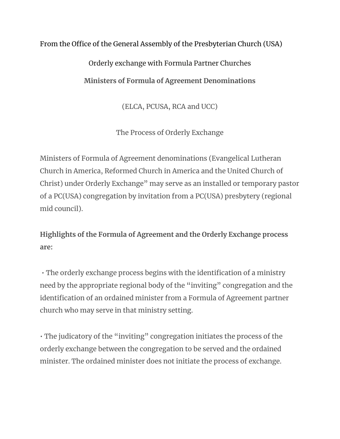## From the Office of the General Assembly of the Presbyterian Church (USA)

## Orderly exchange with Formula Partner Churches **Ministers of Formula of Agreement Denominations**

(ELCA, PCUSA, RCA and UCC)

The Process of Orderly Exchange

Ministers of Formula of Agreement denominations (Evangelical Lutheran Church in America, Reformed Church in America and the United Church of Christ) under Orderly Exchange" may serve as an installed or temporary pastor of a PC(USA) congregation by invitation from a PC(USA) presbytery (regional mid council).

**Highlights of the Formula of Agreement and the Orderly Exchange process are:** 

• The orderly exchange process begins with the identification of a ministry need by the appropriate regional body of the "inviting" congregation and the identification of an ordained minister from a Formula of Agreement partner church who may serve in that ministry setting.

• The judicatory of the "inviting" congregation initiates the process of the orderly exchange between the congregation to be served and the ordained minister. The ordained minister does not initiate the process of exchange.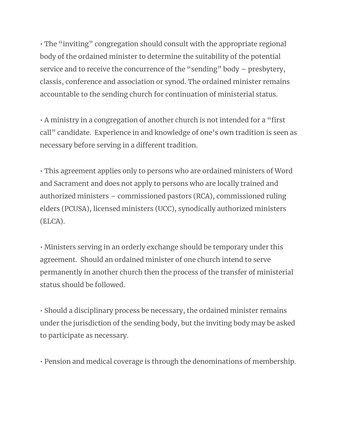• The "inviting" congregation should consult with the appropriate regional body of the ordained minister to determine the suitability of the potential service and to receive the concurrence of the "sending" body – presbytery, classis, conference and association or synod. The ordained minister remains accountable to the sending church for continuation of ministerial status.

• A ministry in a congregation of another church is not intended for a "first call" candidate. Experience in and knowledge of one's own tradition is seen as necessary before serving in a different tradition.

• This agreement applies only to persons who are ordained ministers of Word and Sacrament and does not apply to persons who are locally trained and authorized ministers – commissioned pastors (RCA), commissioned ruling elders (PCUSA), licensed ministers (UCC), synodically authorized ministers (ELCA).

• Ministers serving in an orderly exchange should be temporary under this agreement. Should an ordained minister of one church intend to serve permanently in another church then the process of the transfer of ministerial status should be followed.

• Should a disciplinary process be necessary, the ordained minister remains under the jurisdiction of the sending body, but the inviting body may be asked to participate as necessary.

• Pension and medical coverage is through the denominations of membership.